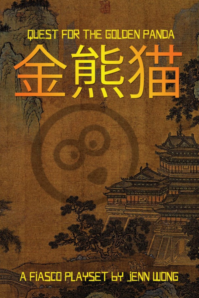# **QUEST FOR THE GOLDEN PANDA**

A FIASCO PLAYSET LY JENN WONG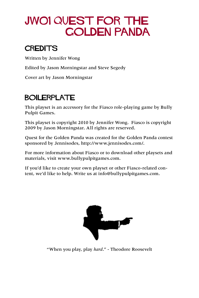# JW01 QUEST FOR THE GOLDEN PANDA

### **CREDITS**

Written by Jennifer Wong

Edited by Jason Morningstar and Steve Segedy

Cover art by Jason Morningstar

### BOILERPLATE

This playset is an accessory for the Fiasco role-playing game by Bully Pulpit Games.

This playset is copyright 2010 by Jennifer Wong. Fiasco is copyright 2009 by Jason Morningstar. All rights are reserved.

Quest for the Golden Panda was created for the Golden Panda contest sponsored by Jennisodes, http://www.jennisodes.com/.

For more information about Fiasco or to download other playsets and materials, visit www.bullypulpitgames.com.

If you'd like to create your own playset or other Fiasco-related content, we'd like to help. Write us at info@bullypulpitgames.com.



"When you play, play *hard*." - Theodore Roosevelt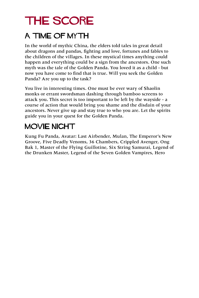# THE SCORE

### A TIME OF MYTH

In the world of mythic China, the elders told tales in great detail about dragons and pandas, fighting and love, fortunes and fables to the children of the villages. In these mystical times anything could happen and everything could be a sign from the ancestors. One such myth was the tale of the Golden Panda. You loved it as a child - but now you have come to find that is true. Will you seek the Golden Panda? Are you up to the task?

You live in interesting times. One must be ever wary of Shaolin monks or errant swordsman dashing through bamboo screens to attack you. This secret is too important to be left by the wayside - a course of action that would bring you shame and the disdain of your ancestors. Never give up and stay true to who you are. Let the spirits guide you in your quest for the Golden Panda.

### MOVIE NIGHT

Kung Fu Panda, Avatar: Last Airbender, Mulan, The Emperor's New Groove, Five Deadly Venoms, 36 Chambers, Crippled Avenger, Ong Bak 1, Master of the Flying Guillotine, Six String Samurai, Legend of the Drunken Master, Legend of the Seven Golden Vampires, Hero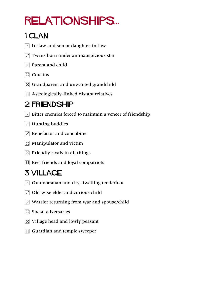# relationships...

### 1 Clan

- $\lceil \cdot \rceil$  In-law and son or daughter-in-law
- $\Gamma$  Twins born under an inauspicious star
- $\overline{3}$  Parent and child
- $\boxed{::}$  Cousins
- $\mathbb{E}$  Grandparent and unwanted grandchild
- **11** Astrologically-linked distant relatives

## 2 Friendship

- $\cdot$  Bitter enemies forced to maintain a veneer of friendship
- $\Gamma$  Hunting buddies
- $\Gamma$  Benefactor and concubine
- $\left| \right|$  Manipulator and victim
- $\mathbb{E}$  Friendly rivals in all things
- **11** Best friends and loyal compatriots

## 3 VILLAGE

- $\lceil \cdot \rceil$  Outdoorsman and city-dwelling tenderfoot
- $\Box$  Old wise elder and curious child
- $\ddot{\cdot}$  Warrior returning from war and spouse/child
- $\boxed{::}$  Social adversaries
- $\boxed{5}$  Village head and lowly peasant
- **1** Guardian and temple sweeper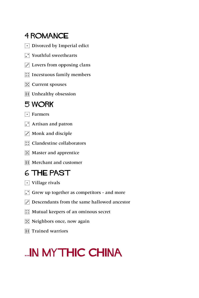### 4 ROMANCE

- $\lceil \cdot \rceil$  Divorced by Imperial edict
- $\Gamma$  Youthful sweethearts
- $\overline{S}$  Lovers from opposing clans
- $\boxed{\therefore}$  Incestuous family members
- $\mathbb{E}$  Current spouses
- **1** Unhealthy obsession

### 5 WORK

- $\lceil \cdot \rceil$  Farmers
- $\Gamma$  Artisan and patron
- $\ddot{\cdot}$  Monk and disciple
- **1.** Clandestine collaborators
- $\mathbb{E}$  Master and apprentice
- **1** Merchant and customer

### 6 THE PAST

- $\lceil \cdot \rceil$  Village rivals
- $\Gamma$  Grew up together as competitors and more
- $\ddot{\cdot}$  Descendants from the same hallowed ancestor
- $\boxed{\therefore}$  Mutual keepers of an ominous secret
- $\boxed{5}$  Neighbors once, now again
- **1** Trained warriors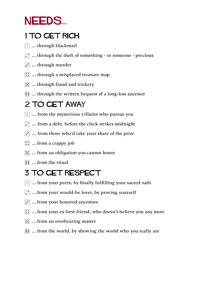# NEEDS...

### 1 TO GET RICH

- $\lceil \cdot \rceil$  ... through blackmail
- $\Gamma$  ... through the theft of something or someone precious
- $\ddot{\cdot}$  ... through murder
- $\boxed{::}$  ... through a misplaced treasure map
- $\boxed{5}$  ... through fraud and trickery
- **11** ... through the written bequest of a long-lost ancestor

### 2 TO GET AWAY

- $\lceil \cdot \rceil$  ... from the mysterious villains who pursue you
- $\cdot$   $\cdot$  ... from a debt, before the clock strikes midnight
- $\ddot{\cdot}$  ... from those who'd take your share of the prize
- $\boxed{\therefore}$  ... from a crappy job
- $\mathbb{E}$  ... from an obligation you cannot honor
- $\boxed{ii}$  ... from the ritual

## 3 TO GET RESPECT

- $\lceil \cdot \rceil$  ... from your peers, by finally fulfilling your sacred oath
- $\boxed{\cdot}$  ... from your would-be lover, by proving yourself
- $\ddot{\cdot}$  ... from your honored ancestors
- $\therefore$  ... from your ex-best-friend, who doesn't believe you any more
- $\mathbb{E}$  ... from an overbearing master
- **11** ... from the world, by showing the world who you really are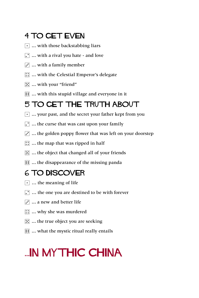### 4 TO GET EVEN

- $\lceil \cdot \rceil$  ... with those backstabbing liars
- $\lceil \cdot \rceil$  ... with a rival you hate and love
- $\overline{S}$  ... with a family member
- $\boxed{::}$  ... with the Celestial Emperor's delegate
- $\mathbb{E}$  ... with your "friend"
- **11** ... with this stupid village and everyone in it

### 5 TO GET THE TRUTH ABOUT

- $\lceil \cdot \rceil$  ... your past, and the secret your father kept from you
- $\cdot$  ... the curse that was cast upon your family
- $\ddot{\cdot}$  ... the golden poppy flower that was left on your doorstep
- $\boxed{::}$  ... the map that was ripped in half
- $\mathbb{E}$  ... the object that changed all of your friends
- **11** ... the disappearance of the missing panda

### 6 TO DISCOVER

- $\lceil \cdot \rceil$  ... the meaning of life
- $\Gamma$  ... the one you are destined to be with forever
- $\overline{S}$  ... a new and better life
- $\boxed{\therefore}$  ... why she was murdered
- $\mathbb{E}$  ... the true object you are seeking
- **11** ... what the mystic ritual really entails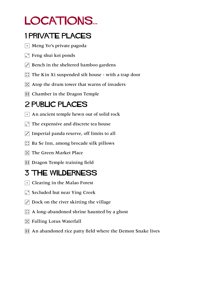# LOCATIONS...

### 1 private places

- $\lceil \cdot \rceil$  Meng Yo's private pagoda
- $\lceil \cdot \rceil$  Feng shui koi ponds
- $\ddot{\cdot}$  Bench in the sheltered bamboo gardens
- $\therefore$  The Kin Xi suspended silt house with a trap door
- $\mathbb{E}$  Atop the drum tower that warns of invaders
- **1** Chamber in the Dragon Temple

### 2 public places

- $\lceil \cdot \rceil$  An ancient temple hewn out of solid rock
- $\Gamma$  The expensive and discrete tea house
- $\cdot$  Imperial panda reserve, off limits to all
- $\mathbb{R}$  Ba Se Inn, among brocade silk pillows
- **F.** The Green Market Place
- **13** Dragon Temple training field

### 3 The wilderness

- $\lceil \cdot \rceil$  Clearing in the Malao Forest
- $\Gamma$  Secluded hut near Ying Creek
- $\overline{3}$  Dock on the river skirting the village
- $\therefore$  A long-abandoned shrine haunted by a ghost
- $\mathbb{E}$  Falling Lotus Waterfall
- **11** An abandoned rice patty field where the Demon Snake lives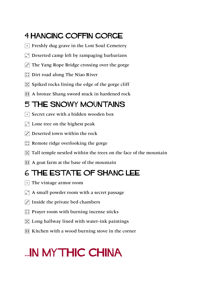### 4 Hanging Coffin Gorge

- $\lceil \cdot \rceil$  Freshly dug grave in the Lost Soul Cemetery
- $\Gamma$  Deserted camp left by rampaging barbarians
- $\overline{3}$  The Yang Rope Bridge crossing over the gorge
- **1.** Dirt road along The Niao River
- $\mathbb{E}$  Spiked rocks lining the edge of the gorge cliff
- **11** A bronze Shang sword stuck in hardened rock

### 5 THE SNOWY MOUNTAINS

- $\lceil \cdot \rceil$  Secret cave with a hidden wooden box
- $\Gamma$  Lone tree on the highest peak
- $\Gamma$  Deserted town within the rock
- $\mathbb{R}$  Remote ridge overlooking the gorge
- $\mathbb{E}$  Tall temple nestled within the trees on the face of the mountain
- $\mathbf{F}$  A goat farm at the base of the mountain

### 6 THE ESTATE OF SHANG LEE

- $\lceil \cdot \rceil$  The vintage armor room
- $\Gamma$  A small powder room with a secret passage
- $\overline{3}$  Inside the private bed chambers
- $\mathbb{R}$  Prayer room with burning incense sticks
- $\mathbb{E}$  Long hallway lined with water-ink paintings
- $\mathbf{F}$  Kitchen with a wood burning stove in the corner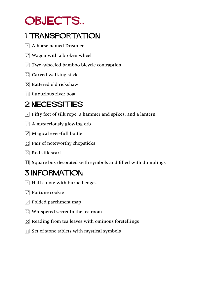# OBJECTS...

### 1 TRANSPORTATION

- $\lceil \cdot \rceil$  A horse named Dreamer
- $\Gamma$  Wagon with a broken wheel
- $\mathbf{3}$  Two-wheeled bamboo bicycle contraption
- $\boxed{\therefore}$  Carved walking stick
- $\mathbb{E}$  Battered old rickshaw
- **1** Luxurious river boat

### 2 NECESSITIES

- $\lceil \cdot \rceil$  Fifty feet of silk rope, a hammer and spikes, and a lantern
- $\cdot$  A mysteriously glowing orb
- $\cdot$  Magical ever-full bottle
- $\mathbb{R}$  Pair of noteworthy chopsticks
- $\mathbb{E}$  Red silk scarf
- 6 Square box decorated with symbols and filled with dumplings

### 3 INFORMATION

- $\lceil \cdot \rceil$  Half a note with burned edges
- $\Gamma$  Fortune cookie
- $\Gamma$  Folded parchment map
- $\boxed{\therefore}$  Whispered secret in the tea room
- $\mathbb{E}$  Reading from tea leaves with ominous foretellings
- **11** Set of stone tablets with mystical symbols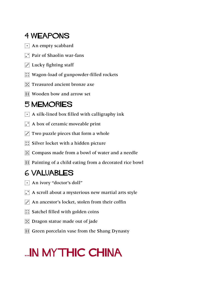### 4 WEAPONS

- $\lceil \cdot \rceil$  An empty scabbard
- $\Gamma$  Pair of Shaolin war-fans
- $\overline{S}$  Lucky fighting staff
- **::** Wagon-load of gunpowder-filled rockets
- $\mathbb{E}$  Treasured ancient bronze axe
- **1:** Wooden bow and arrow set

### 5 MEMORIES

- $\lceil \cdot \rceil$  A silk-lined box filled with calligraphy ink
- $\Gamma$  A box of ceramic moveable print
- $\mathbf{3}$  Two puzzle pieces that form a whole
- $\mathbb{R}$  Silver locket with a hidden picture
- $\mathbb{E}$  Compass made from a bowl of water and a needle
- **11** Painting of a child eating from a decorated rice bowl

### 6 VALUABLES

- $\lceil \cdot \rceil$  An ivory "doctor's doll"
- $\Gamma$  A scroll about a mysterious new martial arts style
- $\vec{r}$  An ancestor's locket, stolen from their coffin
- $\boxed{\therefore}$  Satchel filled with golden coins
- $\mathbb{E}$  Dragon statue made out of jade
- **6 Green porcelain vase from the Shang Dynasty**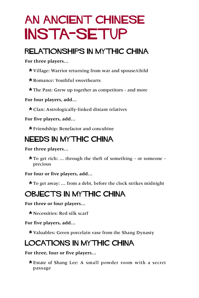# AN ANCIENT CHINESE INSTA-SETUP

### Relationships IN Mythic China

**For three players…**

\* Village: Warrior returning from war and spouse/child

\* Romance: Youthful sweethearts

\* The Past: Grew up together as competitors - and more

**For four players, add…**

\* Clan: Astrologically-linked distant relatives

**For five players, add…**

\* Friendship: Benefactor and concubine

### Needs IN Mythic China

### **For three players…**

 $\star$  To get rich: ... through the theft of something - or someone precious

**For four or five players, add…**

 $\star$  To get away: ... from a debt, before the clock strikes midnight

### OBJECTS IN Mythic China

**For three or four players…**

 $\star$  Necessities: Red silk scarf

**For five players, add…**

\* Valuables: Green porcelain vase from the Shang Dynasty

### LOCATIONS IN Mythic China

**For three, four or five players…**

\* Estate of Shang Lee: A small powder room with a secret passage